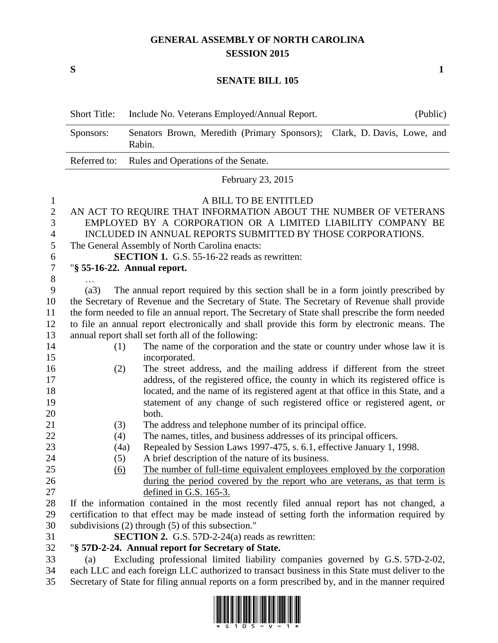## **GENERAL ASSEMBLY OF NORTH CAROLINA SESSION 2015**

**S 1**

## **SENATE BILL 105**

|              | <b>Short Title:</b>                                                                              | Include No. Veterans Employed/Annual Report.<br>(Public)                            |  |
|--------------|--------------------------------------------------------------------------------------------------|-------------------------------------------------------------------------------------|--|
|              | Sponsors:                                                                                        | Senators Brown, Meredith (Primary Sponsors); Clark, D. Davis, Lowe, and<br>Rabin.   |  |
|              | Referred to:                                                                                     | Rules and Operations of the Senate.                                                 |  |
|              | February 23, 2015                                                                                |                                                                                     |  |
| $\mathbf{I}$ | A BILL TO BE ENTITLED                                                                            |                                                                                     |  |
| $\mathbf{2}$ | AN ACT TO REQUIRE THAT INFORMATION ABOUT THE NUMBER OF VETERANS                                  |                                                                                     |  |
| 3            | EMPLOYED BY A CORPORATION OR A LIMITED LIABILITY COMPANY BE                                      |                                                                                     |  |
| 4            | INCLUDED IN ANNUAL REPORTS SUBMITTED BY THOSE CORPORATIONS.                                      |                                                                                     |  |
| 5            | The General Assembly of North Carolina enacts:                                                   |                                                                                     |  |
| 6            | <b>SECTION 1.</b> G.S. 55-16-22 reads as rewritten:                                              |                                                                                     |  |
| 7            | "§ 55-16-22. Annual report.                                                                      |                                                                                     |  |
| 8            |                                                                                                  |                                                                                     |  |
| 9            | (a3)                                                                                             | The annual report required by this section shall be in a form jointly prescribed by |  |
| 10           | the Secretary of Revenue and the Secretary of State. The Secretary of Revenue shall provide      |                                                                                     |  |
| 11           | the form needed to file an annual report. The Secretary of State shall prescribe the form needed |                                                                                     |  |
| 12           | to file an annual report electronically and shall provide this form by electronic means. The     |                                                                                     |  |
| 13           | annual report shall set forth all of the following:                                              |                                                                                     |  |
| 14           | (1)                                                                                              | The name of the corporation and the state or country under whose law it is          |  |
| 15           |                                                                                                  | incorporated.                                                                       |  |
| 16           | (2)                                                                                              | The street address, and the mailing address if different from the street            |  |
| 17           |                                                                                                  | address, of the registered office, the county in which its registered office is     |  |
| 18           |                                                                                                  | located, and the name of its registered agent at that office in this State, and a   |  |
| 19<br>20     |                                                                                                  | statement of any change of such registered office or registered agent, or<br>both.  |  |
| 21           | (3)                                                                                              | The address and telephone number of its principal office.                           |  |
| 22           | (4)                                                                                              | The names, titles, and business addresses of its principal officers.                |  |
| 23           | (4a)                                                                                             | Repealed by Session Laws 1997-475, s. 6.1, effective January 1, 1998.               |  |
| 24           | (5)                                                                                              | A brief description of the nature of its business.                                  |  |
| 25           | $\underline{(6)}$                                                                                | The number of full-time equivalent employees employed by the corporation            |  |
| 26           |                                                                                                  | during the period covered by the report who are veterans, as that term is           |  |
| 27           |                                                                                                  | defined in G.S. $165-3$ .                                                           |  |
| 28           | If the information contained in the most recently filed annual report has not changed, a         |                                                                                     |  |
| 29           | certification to that effect may be made instead of setting forth the information required by    |                                                                                     |  |
| 30           | subdivisions $(2)$ through $(5)$ of this subsection."                                            |                                                                                     |  |
| 31           | <b>SECTION 2.</b> G.S. 57D-2-24(a) reads as rewritten:                                           |                                                                                     |  |
| 32           | "§ 57D-2-24. Annual report for Secretary of State.                                               |                                                                                     |  |
| 33           | (a)                                                                                              | Excluding professional limited liability companies governed by G.S. 57D-2-02,       |  |

34 each LLC and each foreign LLC authorized to transact business in this State must deliver to the<br>35 Secretary of State for filing annual reports on a form prescribed by, and in the manner required Secretary of State for filing annual reports on a form prescribed by, and in the manner required